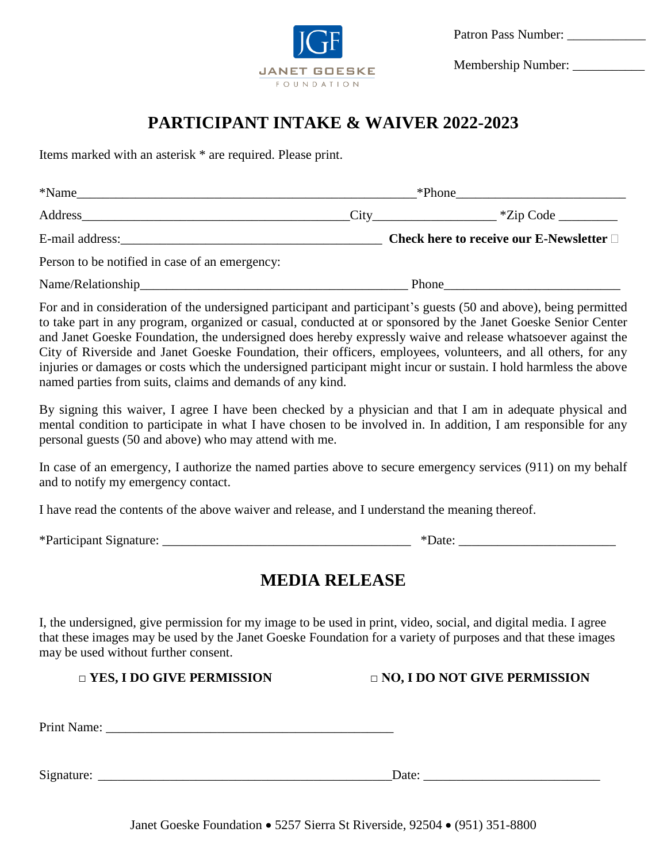

Membership Number: \_\_\_\_\_\_\_\_\_\_\_

# **PARTICIPANT INTAKE & WAIVER 2022-2023**

Items marked with an asterisk \* are required. Please print.

| $*Name$                                                             | $*$ Phone |                                                  |  |
|---------------------------------------------------------------------|-----------|--------------------------------------------------|--|
| Address $\overline{\phantom{a}}$ *Zip Code $\overline{\phantom{a}}$ |           |                                                  |  |
|                                                                     |           | Check here to receive our E-Newsletter $\square$ |  |
| Person to be notified in case of an emergency:                      |           |                                                  |  |
|                                                                     | Phone     |                                                  |  |

For and in consideration of the undersigned participant and participant's guests (50 and above), being permitted to take part in any program, organized or casual, conducted at or sponsored by the Janet Goeske Senior Center and Janet Goeske Foundation, the undersigned does hereby expressly waive and release whatsoever against the City of Riverside and Janet Goeske Foundation, their officers, employees, volunteers, and all others, for any injuries or damages or costs which the undersigned participant might incur or sustain. I hold harmless the above named parties from suits, claims and demands of any kind.

By signing this waiver, I agree I have been checked by a physician and that I am in adequate physical and mental condition to participate in what I have chosen to be involved in. In addition, I am responsible for any personal guests (50 and above) who may attend with me.

In case of an emergency, I authorize the named parties above to secure emergency services (911) on my behalf and to notify my emergency contact.

I have read the contents of the above waiver and release, and I understand the meaning thereof.

| *Participant Signature: |
|-------------------------|
|-------------------------|

# **MEDIA RELEASE**

I, the undersigned, give permission for my image to be used in print, video, social, and digital media. I agree that these images may be used by the Janet Goeske Foundation for a variety of purposes and that these images may be used without further consent.

□ YES, I DO GIVE PERMISSION □ NO, I DO NOT GIVE PERMISSION

Print Name:

Signature:  $\Box$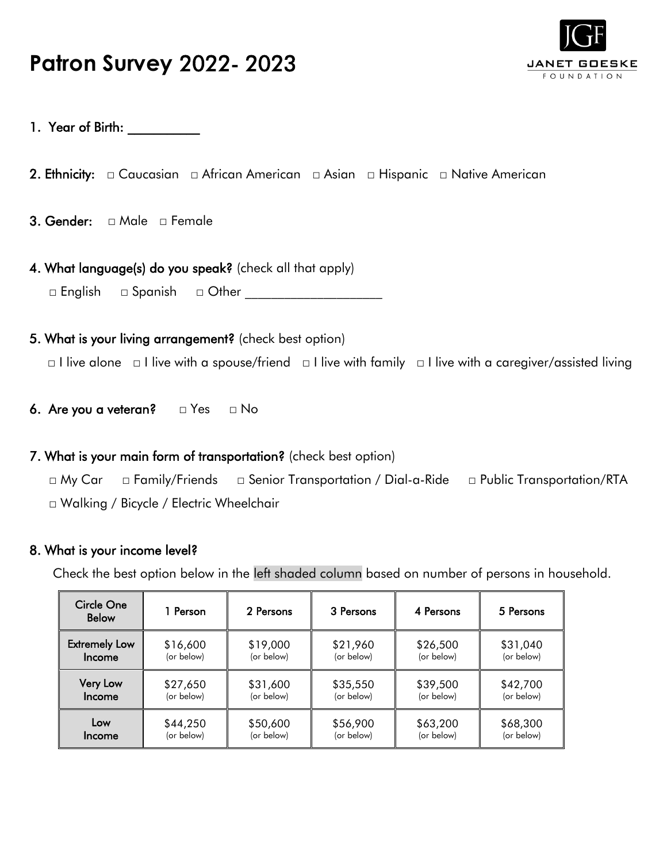# **Patron Survey** 2022- 2023



### 1. Year of Birth: \_\_\_\_\_\_\_\_\_\_\_

- 2. Ethnicity: □ Caucasian □ African American □ Asian □ Hispanic □ Native American
- 3. Gender: □ Male □ Female
- 4. What language(s) do you speak? (check all that apply) □ English □ Spanish □ Other \_\_\_\_\_\_\_\_\_\_\_\_\_\_\_\_\_\_\_\_\_
- 5. What is your living arrangement? (check best option) □ I live alone □ I live with a spouse/friend □ I live with family □ I live with a caregiver/assisted living
- 6. Are you a veteran? □ Yes □ No

#### 7. What is your main form of transportation? (check best option)

□ My Car □ Family/Friends □ Senior Transportation / Dial-a-Ride □ Public Transportation/RTA □ Walking / Bicycle / Electric Wheelchair

#### 8. What is your income level?

Check the best option below in the left shaded column based on number of persons in household.

| Circle One<br><b>Below</b> | 1 Person   | 2 Persons  | 3 Persons  | 4 Persons  | 5 Persons  |
|----------------------------|------------|------------|------------|------------|------------|
| <b>Extremely Low</b>       | \$16,600   | \$19,000   | \$21,960   | \$26,500   | \$31,040   |
| Income                     | (or below) | (or below) | (or below) | (or below) | (or below) |
| <b>Very Low</b>            | \$27,650   | \$31,600   | \$35,550   | \$39,500   | \$42,700   |
| <b>Income</b>              | (or below) | (or below) | (or below) | (or below) | (or below) |
| Low                        | \$44,250   | \$50,600   | \$56,900   | \$63,200   | \$68,300   |
| Income                     | (or below) | (or below) | (or below) | (or below) | (or below) |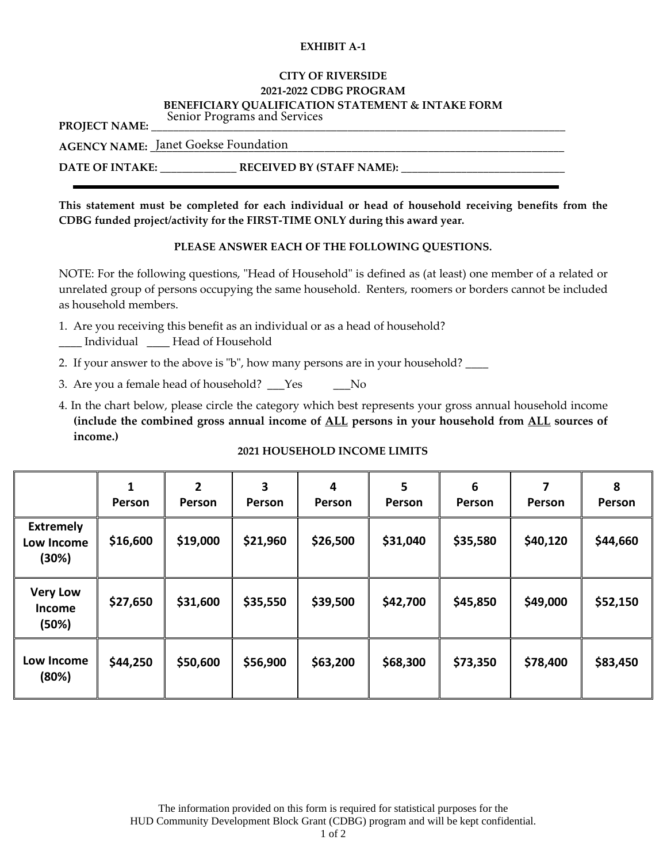#### **EXHIBIT A-1**

#### **CITY OF RIVERSIDE 2021-2022 CDBG PROGRAM BENEFICIARY QUALIFICATION STATEMENT & INTAKE FORM**

PROJECT NAME: Senior Programs and Services

|--|

#### **DATE OF INTAKE: \_\_\_\_\_\_\_\_\_\_\_\_\_\_ RECEIVED BY (STAFF NAME): \_\_\_\_\_\_\_\_\_\_\_\_\_\_\_\_\_\_\_\_\_\_\_\_\_\_\_\_\_\_**

**This statement must be completed for each individual or head of household receiving benefits from the CDBG funded project/activity for the FIRST-TIME ONLY during this award year.**

#### **PLEASE ANSWER EACH OF THE FOLLOWING QUESTIONS.**

NOTE: For the following questions, "Head of Household" is defined as (at least) one member of a related or unrelated group of persons occupying the same household. Renters, roomers or borders cannot be included as household members.

- 1. Are you receiving this benefit as an individual or as a head of household?
- \_\_\_\_ Individual \_\_\_\_ Head of Household
- 2. If your answer to the above is "b", how many persons are in your household? \_\_\_\_\_
- 3. Are you a female head of household? Yes No
- 4. In the chart below, please circle the category which best represents your gross annual household income **(include the combined gross annual income of ALL persons in your household from ALL sources of income.)**

#### **2021 HOUSEHOLD INCOME LIMITS**

|                                           | 1<br>Person | $\overline{2}$<br>Person | 3<br>Person | 4<br>Person | $5\phantom{1}$<br>Person | 6<br>Person | 7<br>Person | 8<br>Person |
|-------------------------------------------|-------------|--------------------------|-------------|-------------|--------------------------|-------------|-------------|-------------|
| <b>Extremely</b><br>Low Income<br>(30%)   | \$16,600    | \$19,000                 | \$21,960    | \$26,500    | \$31,040                 | \$35,580    | \$40,120    | \$44,660    |
| <b>Very Low</b><br><b>Income</b><br>(50%) | \$27,650    | \$31,600                 | \$35,550    | \$39,500    | \$42,700                 | \$45,850    | \$49,000    | \$52,150    |
| Low Income<br>(80%)                       | \$44,250    | \$50,600                 | \$56,900    | \$63,200    | \$68,300                 | \$73,350    | \$78,400    | \$83,450    |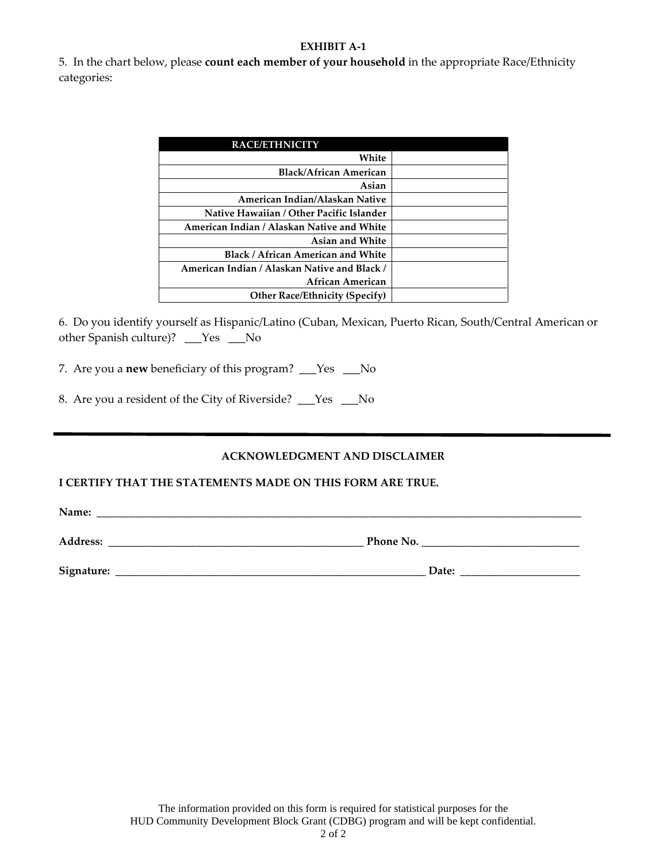#### **EXHIBIT A-1**

5. In the chart below, please **count each member of your household** in the appropriate Race/Ethnicity categories:

| <b>RACE/ETHNICITY</b>                        |  |
|----------------------------------------------|--|
| White                                        |  |
| <b>Black/African American</b>                |  |
| Asian                                        |  |
| American Indian/Alaskan Native               |  |
| Native Hawaiian / Other Pacific Islander     |  |
| American Indian / Alaskan Native and White   |  |
| <b>Asian and White</b>                       |  |
| <b>Black / African American and White</b>    |  |
| American Indian / Alaskan Native and Black / |  |
| African American                             |  |
| <b>Other Race/Ethnicity (Specify)</b>        |  |

6. Do you identify yourself as Hispanic/Latino (Cuban, Mexican, Puerto Rican, South/Central American or other Spanish culture)? \_\_\_Yes \_\_\_No

7. Are you a **new** beneficiary of this program? \_\_\_Yes \_\_\_No

8. Are you a resident of the City of Riverside? Yes No

#### **ACKNOWLEDGMENT AND DISCLAIMER**

#### **I CERTIFY THAT THE STATEMENTS MADE ON THIS FORM ARE TRUE.**

**Name: \_\_\_\_\_\_\_\_\_\_\_\_\_\_\_\_\_\_\_\_\_\_\_\_\_\_\_\_\_\_\_\_\_\_\_\_\_\_\_\_\_\_\_\_\_\_\_\_\_\_\_\_\_\_\_\_\_\_\_\_\_\_\_\_\_\_\_\_\_\_\_\_\_\_\_\_\_\_\_\_\_\_\_\_\_\_\_\_\_**

**Address: \_\_\_\_\_\_\_\_\_\_\_\_\_\_\_\_\_\_\_\_\_\_\_\_\_\_\_\_\_\_\_\_\_\_\_\_\_\_\_\_\_\_\_\_\_\_\_ Phone No. \_\_\_\_\_\_\_\_\_\_\_\_\_\_\_\_\_\_\_\_\_\_\_\_\_\_\_\_\_**

**Signature: \_\_\_\_\_\_\_\_\_\_\_\_\_\_\_\_\_\_\_\_\_\_\_\_\_\_\_\_\_\_\_\_\_\_\_\_\_\_\_\_\_\_\_\_\_\_\_\_\_\_\_\_\_\_\_\_\_ Date: \_\_\_\_\_\_\_\_\_\_\_\_\_\_\_\_\_\_\_\_\_\_**